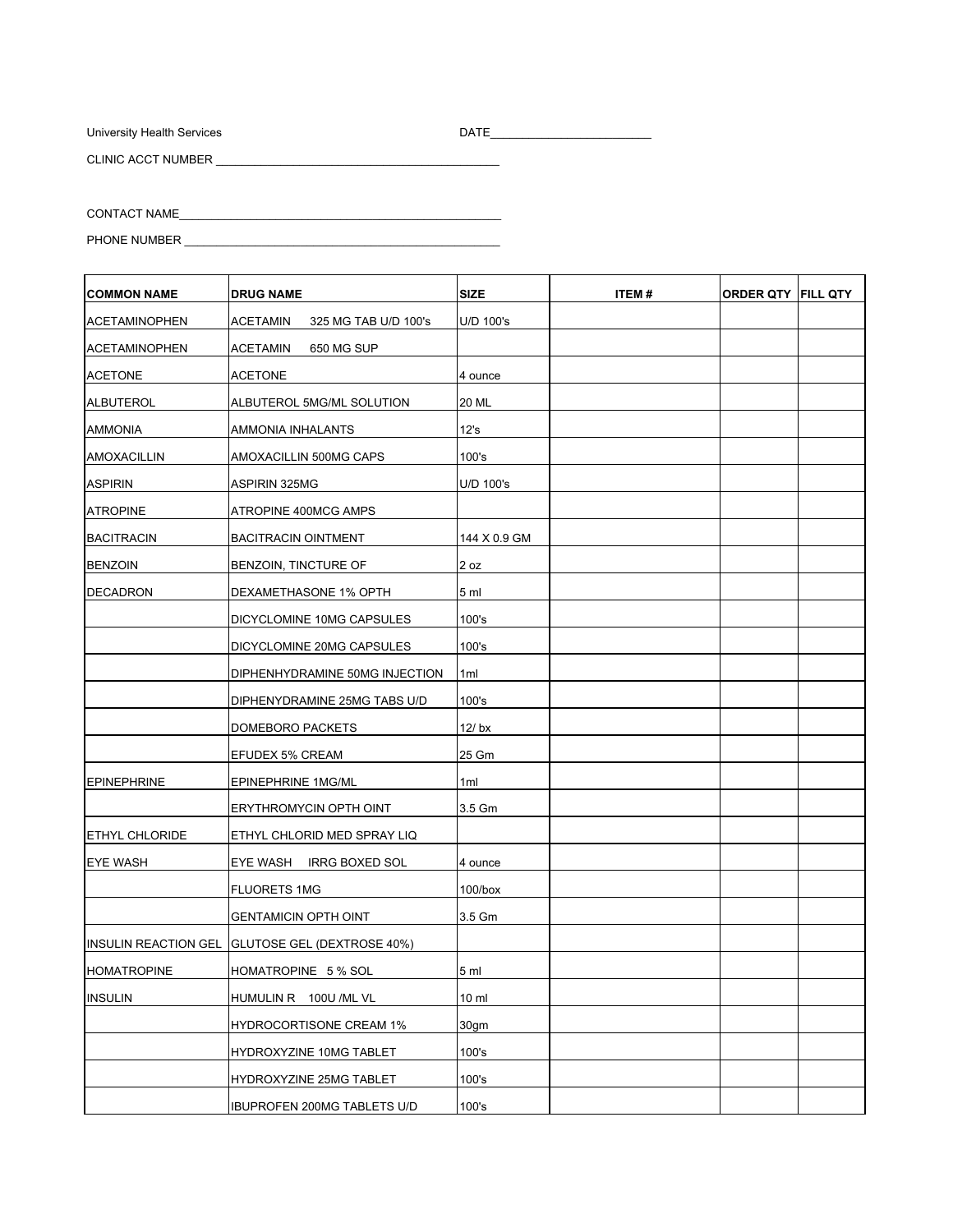University Health Services

 $\overline{\phantom{a}}$ 

CLINIC ACCT NUMBER

| <b>COMMON NAME</b>    | <b>DRUG NAME</b>                                | <b>SIZE</b>     | ITEM# | <b>ORDER QTY FILL QTY</b> |  |
|-----------------------|-------------------------------------------------|-----------------|-------|---------------------------|--|
| <b>ACETAMINOPHEN</b>  | ACETAMIN<br>325 MG TAB U/D 100's                | U/D 100's       |       |                           |  |
| <b>ACETAMINOPHEN</b>  | <b>ACETAMIN</b><br>650 MG SUP                   |                 |       |                           |  |
| <b>ACETONE</b>        | <b>ACETONE</b>                                  | 4 ounce         |       |                           |  |
| <b>ALBUTEROL</b>      | ALBUTEROL 5MG/ML SOLUTION                       | 20 ML           |       |                           |  |
| <b>AMMONIA</b>        | AMMONIA INHALANTS                               | 12's            |       |                           |  |
| AMOXACILLIN           | AMOXACILLIN 500MG CAPS                          | 100's           |       |                           |  |
| <b>ASPIRIN</b>        | <b>ASPIRIN 325MG</b>                            | U/D 100's       |       |                           |  |
| <b>ATROPINE</b>       | ATROPINE 400MCG AMPS                            |                 |       |                           |  |
| <b>BACITRACIN</b>     | <b>BACITRACIN OINTMENT</b>                      | 144 X 0.9 GM    |       |                           |  |
| <b>BENZOIN</b>        | BENZOIN, TINCTURE OF                            | 2 oz            |       |                           |  |
| <b>DECADRON</b>       | DEXAMETHASONE 1% OPTH                           | 5 ml            |       |                           |  |
|                       | DICYCLOMINE 10MG CAPSULES                       | 100's           |       |                           |  |
|                       | DICYCLOMINE 20MG CAPSULES                       | 100's           |       |                           |  |
|                       | DIPHENHYDRAMINE 50MG INJECTION                  | 1ml             |       |                           |  |
|                       | DIPHENYDRAMINE 25MG TABS U/D                    | 100's           |       |                           |  |
|                       | DOMEBORO PACKETS                                | 12/bx           |       |                           |  |
|                       | EFUDEX 5% CREAM                                 | 25 Gm           |       |                           |  |
| <b>EPINEPHRINE</b>    | <b>EPINEPHRINE 1MG/ML</b>                       | 1ml             |       |                           |  |
|                       | ERYTHROMYCIN OPTH OINT                          | 3.5 Gm          |       |                           |  |
| <b>ETHYL CHLORIDE</b> | ETHYL CHLORID MED SPRAY LIQ                     |                 |       |                           |  |
| <b>EYE WASH</b>       | EYE WASH IRRG BOXED SOL                         | 4 ounce         |       |                           |  |
|                       | <b>FLUORETS 1MG</b>                             | $100/b$ ox      |       |                           |  |
|                       | <b>GENTAMICIN OPTH OINT</b>                     | 3.5 Gm          |       |                           |  |
|                       | INSULIN REACTION GEL GLUTOSE GEL (DEXTROSE 40%) |                 |       |                           |  |
| <b>HOMATROPINE</b>    | HOMATROPINE 5 % SOL                             | 5 <sub>m</sub>  |       |                           |  |
| <b>INSULIN</b>        | HUMULIN R 100U /ML VL                           | 10 <sub>m</sub> |       |                           |  |
|                       | <b>HYDROCORTISONE CREAM 1%</b>                  | 30gm            |       |                           |  |
|                       | HYDROXYZINE 10MG TABLET                         | 100's           |       |                           |  |
|                       | HYDROXYZINE 25MG TABLET                         | 100's           |       |                           |  |
|                       | IBUPROFEN 200MG TABLETS U/D                     | 100's           |       |                           |  |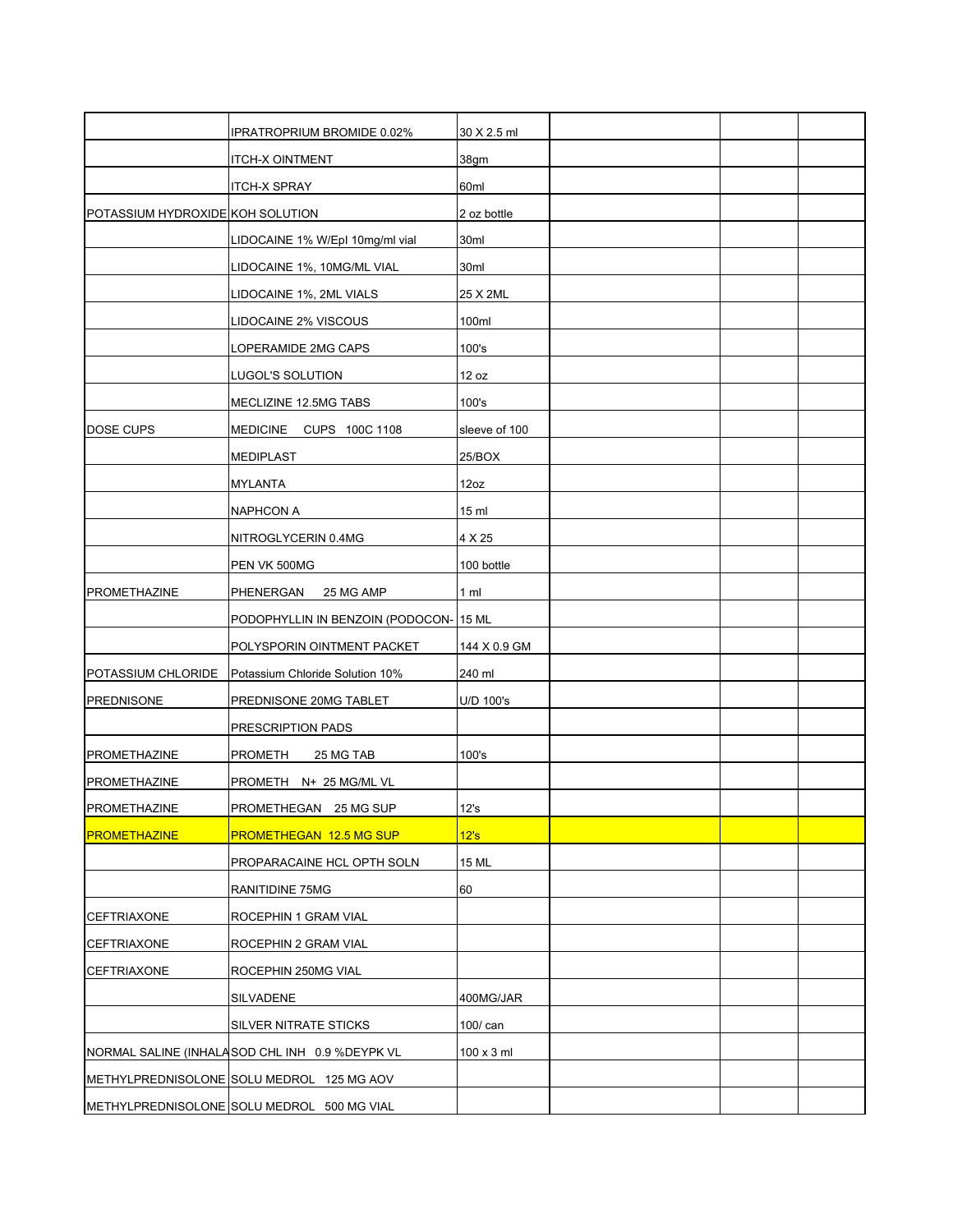|                                  | IPRATROPRIUM BROMIDE 0.02%                     | 30 X 2.5 ml       |  |  |
|----------------------------------|------------------------------------------------|-------------------|--|--|
|                                  | <b>ITCH-X OINTMENT</b>                         | 38gm              |  |  |
|                                  | <b>ITCH-X SPRAY</b>                            | 60ml              |  |  |
| POTASSIUM HYDROXIDE KOH SOLUTION |                                                | 2 oz bottle       |  |  |
|                                  | LIDOCAINE 1% W/EpI 10mg/ml vial                | 30ml              |  |  |
|                                  |                                                |                   |  |  |
|                                  | LIDOCAINE 1%, 10MG/ML VIAL                     | 30ml              |  |  |
|                                  | LIDOCAINE 1%, 2ML VIALS                        | 25 X 2ML          |  |  |
|                                  | LIDOCAINE 2% VISCOUS                           | 100ml             |  |  |
|                                  | LOPERAMIDE 2MG CAPS                            | 100's             |  |  |
|                                  | LUGOL'S SOLUTION                               | 12 oz             |  |  |
|                                  | MECLIZINE 12.5MG TABS                          | 100's             |  |  |
| DOSE CUPS                        | MEDICINE<br>CUPS 100C 1108                     | sleeve of 100     |  |  |
|                                  | <b>MEDIPLAST</b>                               | 25/BOX            |  |  |
|                                  | MYLANTA                                        | 12oz              |  |  |
|                                  | <b>NAPHCON A</b>                               | 15 <sub>ml</sub>  |  |  |
|                                  | NITROGLYCERIN 0.4MG                            | 4 X 25            |  |  |
|                                  | PEN VK 500MG                                   | 100 bottle        |  |  |
| <b>PROMETHAZINE</b>              | PHENERGAN<br>25 MG AMP                         | 1 <sub>m</sub>    |  |  |
|                                  | PODOPHYLLIN IN BENZOIN (PODOCON-               | <b>15 ML</b>      |  |  |
|                                  | POLYSPORIN OINTMENT PACKET                     | 144 X 0.9 GM      |  |  |
| POTASSIUM CHLORIDE               | Potassium Chloride Solution 10%                | 240 ml            |  |  |
| <b>PREDNISONE</b>                | PREDNISONE 20MG TABLET                         | U/D 100's         |  |  |
|                                  | PRESCRIPTION PADS                              |                   |  |  |
| <b>PROMETHAZINE</b>              | <b>PROMETH</b><br>25 MG TAB                    | 100's             |  |  |
| PROMETHAZINE                     | PROMETH N+ 25 MG/ML VL                         |                   |  |  |
| PROMETHAZINE                     | PROMETHEGAN 25 MG SUP                          | 12's              |  |  |
| <b>PROMETHAZINE</b>              | <b>PROMETHEGAN 12.5 MG SUP</b>                 | 12's              |  |  |
|                                  | PROPARACAINE HCL OPTH SOLN                     | 15 ML             |  |  |
|                                  | RANITIDINE 75MG                                | 60                |  |  |
|                                  |                                                |                   |  |  |
| <b>CEFTRIAXONE</b>               | ROCEPHIN 1 GRAM VIAL                           |                   |  |  |
| <b>CEFTRIAXONE</b>               | ROCEPHIN 2 GRAM VIAL                           |                   |  |  |
| <b>CEFTRIAXONE</b>               | ROCEPHIN 250MG VIAL                            |                   |  |  |
|                                  | SILVADENE                                      | 400MG/JAR         |  |  |
|                                  | SILVER NITRATE STICKS                          | 100/ can          |  |  |
|                                  | NORMAL SALINE (INHALASOD CHL INH 0.9 %DEYPK VL | $100 \times 3$ ml |  |  |
|                                  | METHYLPREDNISOLONE SOLU MEDROL 125 MG AOV      |                   |  |  |
|                                  | METHYLPREDNISOLONE SOLU MEDROL 500 MG VIAL     |                   |  |  |